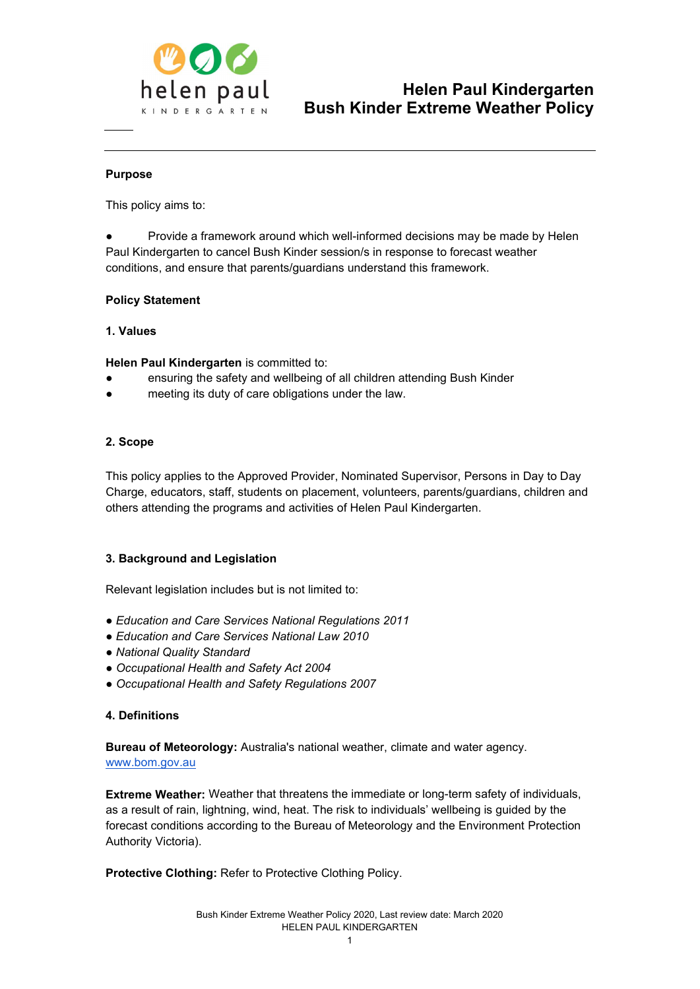

#### Purpose

This policy aims to:

Provide a framework around which well-informed decisions may be made by Helen Paul Kindergarten to cancel Bush Kinder session/s in response to forecast weather conditions, and ensure that parents/guardians understand this framework.

#### Policy Statement

#### 1. Values

Helen Paul Kindergarten is committed to:

- ensuring the safety and wellbeing of all children attending Bush Kinder
- meeting its duty of care obligations under the law.

#### 2. Scope

This policy applies to the Approved Provider, Nominated Supervisor, Persons in Day to Day Charge, educators, staff, students on placement, volunteers, parents/guardians, children and others attending the programs and activities of Helen Paul Kindergarten.

#### 3. Background and Legislation

Relevant legislation includes but is not limited to:

- Education and Care Services National Regulations 2011
- Education and Care Services National Law 2010
- National Quality Standard
- Occupational Health and Safety Act 2004
- Occupational Health and Safety Regulations 2007

#### 4. Definitions

Bureau of Meteorology: Australia's national weather, climate and water agency. www.bom.gov.au

Extreme Weather: Weather that threatens the immediate or long-term safety of individuals, as a result of rain, lightning, wind, heat. The risk to individuals' wellbeing is guided by the forecast conditions according to the Bureau of Meteorology and the Environment Protection Authority Victoria).

Protective Clothing: Refer to Protective Clothing Policy.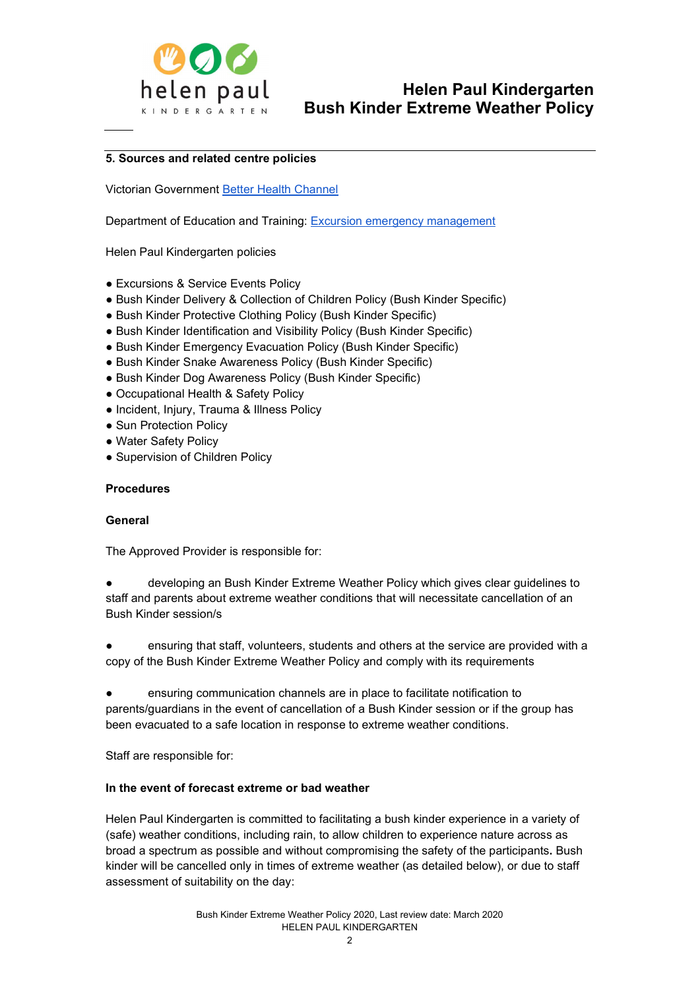

#### 5. Sources and related centre policies

Victorian Government Better Health Channel

Department of Education and Training: Excursion emergency management

Helen Paul Kindergarten policies

- Excursions & Service Events Policy
- Bush Kinder Delivery & Collection of Children Policy (Bush Kinder Specific)
- Bush Kinder Protective Clothing Policy (Bush Kinder Specific)
- Bush Kinder Identification and Visibility Policy (Bush Kinder Specific)
- Bush Kinder Emergency Evacuation Policy (Bush Kinder Specific)
- Bush Kinder Snake Awareness Policy (Bush Kinder Specific)
- Bush Kinder Dog Awareness Policy (Bush Kinder Specific)
- Occupational Health & Safety Policy
- Incident, Injury, Trauma & Illness Policy
- Sun Protection Policy
- Water Safety Policy
- Supervision of Children Policy

#### Procedures

#### General

The Approved Provider is responsible for:

developing an Bush Kinder Extreme Weather Policy which gives clear guidelines to staff and parents about extreme weather conditions that will necessitate cancellation of an Bush Kinder session/s

ensuring that staff, volunteers, students and others at the service are provided with a copy of the Bush Kinder Extreme Weather Policy and comply with its requirements

● ensuring communication channels are in place to facilitate notification to parents/guardians in the event of cancellation of a Bush Kinder session or if the group has been evacuated to a safe location in response to extreme weather conditions.

Staff are responsible for:

#### In the event of forecast extreme or bad weather

Helen Paul Kindergarten is committed to facilitating a bush kinder experience in a variety of (safe) weather conditions, including rain, to allow children to experience nature across as broad a spectrum as possible and without compromising the safety of the participants. Bush kinder will be cancelled only in times of extreme weather (as detailed below), or due to staff assessment of suitability on the day: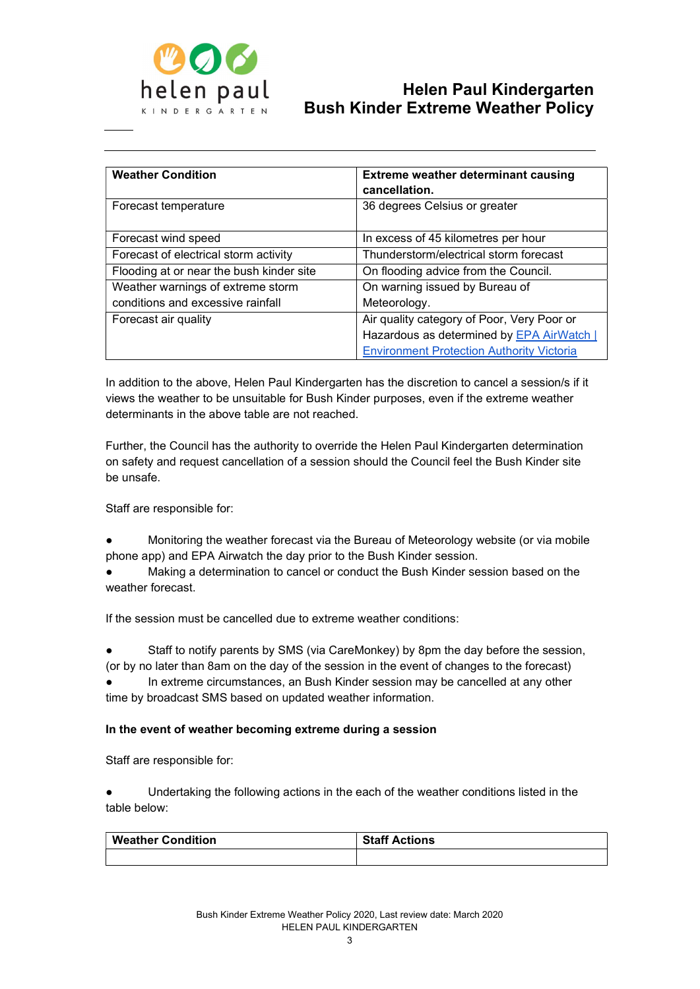

| <b>Weather Condition</b>                 | <b>Extreme weather determinant causing</b><br>cancellation. |
|------------------------------------------|-------------------------------------------------------------|
| Forecast temperature                     | 36 degrees Celsius or greater                               |
| Forecast wind speed                      | In excess of 45 kilometres per hour                         |
| Forecast of electrical storm activity    | Thunderstorm/electrical storm forecast                      |
| Flooding at or near the bush kinder site | On flooding advice from the Council.                        |
| Weather warnings of extreme storm        | On warning issued by Bureau of                              |
| conditions and excessive rainfall        | Meteorology.                                                |
| Forecast air quality                     | Air quality category of Poor, Very Poor or                  |
|                                          | Hazardous as determined by EPA AirWatch                     |
|                                          | <b>Environment Protection Authority Victoria</b>            |

In addition to the above, Helen Paul Kindergarten has the discretion to cancel a session/s if it views the weather to be unsuitable for Bush Kinder purposes, even if the extreme weather determinants in the above table are not reached.

Further, the Council has the authority to override the Helen Paul Kindergarten determination on safety and request cancellation of a session should the Council feel the Bush Kinder site be unsafe.

Staff are responsible for:

Monitoring the weather forecast via the Bureau of Meteorology website (or via mobile phone app) and EPA Airwatch the day prior to the Bush Kinder session.

Making a determination to cancel or conduct the Bush Kinder session based on the weather forecast

If the session must be cancelled due to extreme weather conditions:

Staff to notify parents by SMS (via CareMonkey) by 8pm the day before the session, (or by no later than 8am on the day of the session in the event of changes to the forecast)

In extreme circumstances, an Bush Kinder session may be cancelled at any other time by broadcast SMS based on updated weather information.

#### In the event of weather becoming extreme during a session

Staff are responsible for:

Undertaking the following actions in the each of the weather conditions listed in the table below:

| <b>Weather Condition</b> | <b>Staff Actions</b> |
|--------------------------|----------------------|
|                          |                      |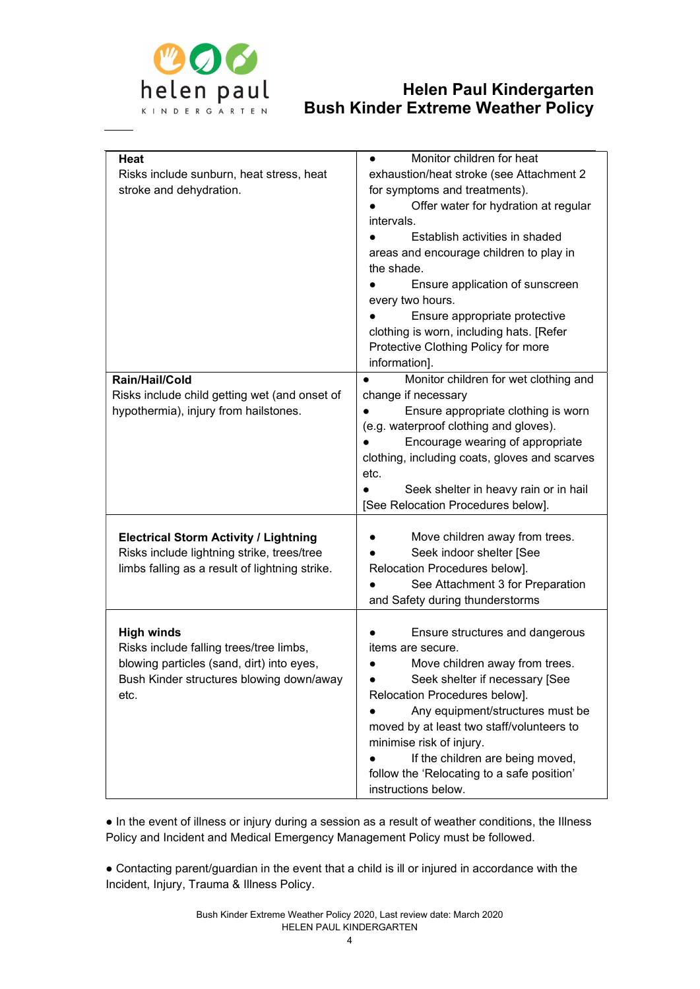

|                                                | Monitor children for heat                     |
|------------------------------------------------|-----------------------------------------------|
| <b>Heat</b>                                    | $\bullet$                                     |
| Risks include sunburn, heat stress, heat       | exhaustion/heat stroke (see Attachment 2      |
| stroke and dehydration.                        | for symptoms and treatments).                 |
|                                                | Offer water for hydration at regular          |
|                                                | intervals.                                    |
|                                                | Establish activities in shaded                |
|                                                | areas and encourage children to play in       |
|                                                | the shade.                                    |
|                                                | Ensure application of sunscreen               |
|                                                | every two hours.                              |
|                                                | Ensure appropriate protective                 |
|                                                | clothing is worn, including hats. [Refer      |
|                                                | Protective Clothing Policy for more           |
|                                                | information].                                 |
| Rain/Hail/Cold                                 | Monitor children for wet clothing and         |
| Risks include child getting wet (and onset of  | change if necessary                           |
| hypothermia), injury from hailstones.          | Ensure appropriate clothing is worn           |
|                                                | (e.g. waterproof clothing and gloves).        |
|                                                | Encourage wearing of appropriate              |
|                                                | clothing, including coats, gloves and scarves |
|                                                | etc.                                          |
|                                                | Seek shelter in heavy rain or in hail         |
|                                                | [See Relocation Procedures below].            |
|                                                |                                               |
| <b>Electrical Storm Activity / Lightning</b>   | Move children away from trees.                |
| Risks include lightning strike, trees/tree     | Seek indoor shelter [See                      |
| limbs falling as a result of lightning strike. | Relocation Procedures below].                 |
|                                                | See Attachment 3 for Preparation              |
|                                                |                                               |
|                                                | and Safety during thunderstorms               |
|                                                |                                               |
| <b>High winds</b>                              | Ensure structures and dangerous               |
| Risks include falling trees/tree limbs,        | items are secure.                             |
| blowing particles (sand, dirt) into eyes,      | Move children away from trees.                |
| Bush Kinder structures blowing down/away       | Seek shelter if necessary [See                |
| etc.                                           | Relocation Procedures below].                 |
|                                                | Any equipment/structures must be              |
|                                                | moved by at least two staff/volunteers to     |
|                                                | minimise risk of injury.                      |
|                                                | If the children are being moved,              |
|                                                | follow the 'Relocating to a safe position'    |
|                                                | instructions below.                           |

● In the event of illness or injury during a session as a result of weather conditions, the Illness Policy and Incident and Medical Emergency Management Policy must be followed.

● Contacting parent/guardian in the event that a child is ill or injured in accordance with the Incident, Injury, Trauma & Illness Policy.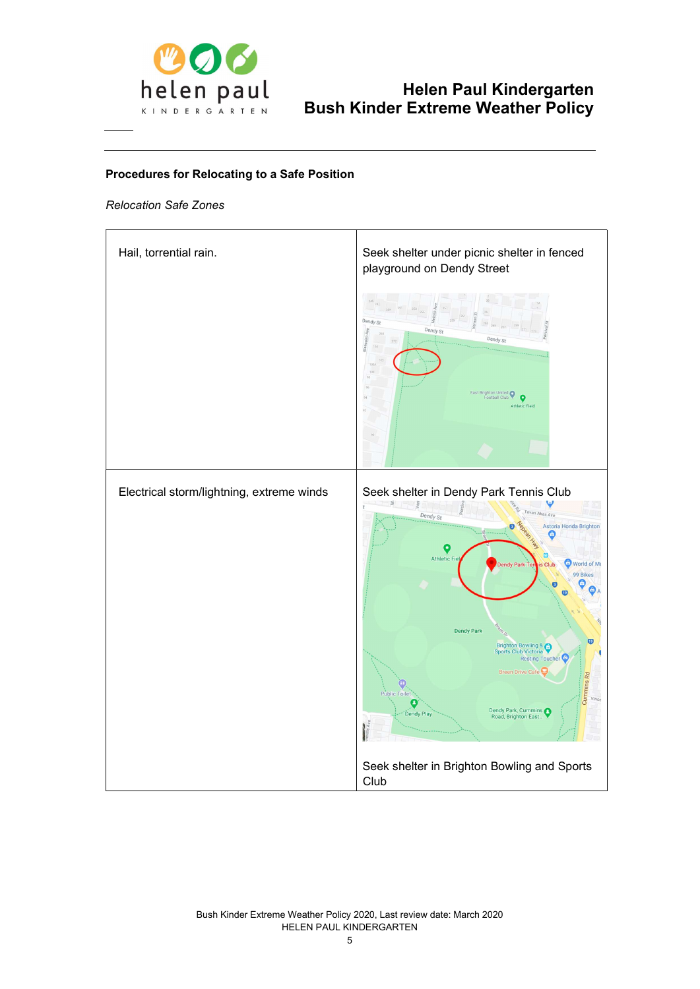

#### Procedures for Relocating to a Safe Position

#### Relocation Safe Zones

| Hail, torrential rain.                    | Seek shelter under picnic shelter in fenced<br>playground on Dendy Street                                                                                                                                                                                                                                                                                                                                                                                                        |
|-------------------------------------------|----------------------------------------------------------------------------------------------------------------------------------------------------------------------------------------------------------------------------------------------------------------------------------------------------------------------------------------------------------------------------------------------------------------------------------------------------------------------------------|
|                                           | Dendy St<br>Dendy St<br>cairn Ave<br>Dendy St<br>East Brighton United<br>$\bullet$<br>Athletic Field                                                                                                                                                                                                                                                                                                                                                                             |
| Electrical storm/lightning, extreme winds | Seek shelter in Dendy Park Tennis Club<br>ž<br>Verr<br>Tovan Akas Ave<br>Dendy St<br>Astoria Honda Brighton<br>۳<br>٠<br>$\Box$<br><b>Athletic Fie</b><br>World of Mu<br>Dendy Park Ten<br>is Club<br>99 Bikes<br><b>Dendy Park</b><br>19<br>Brighton Bowling &<br><b>Sports Club Victoria</b><br>Resting Toucher <sup>C</sup><br><b>Breen Drive Cafe</b><br><b>Cummins Rd</b><br><b>Public Toilet</b><br>Vince<br>Œ<br>Dendy Park, Cummins<br>Dendy Play<br>Road, Brighton East |
|                                           | Seek shelter in Brighton Bowling and Sports<br>Club                                                                                                                                                                                                                                                                                                                                                                                                                              |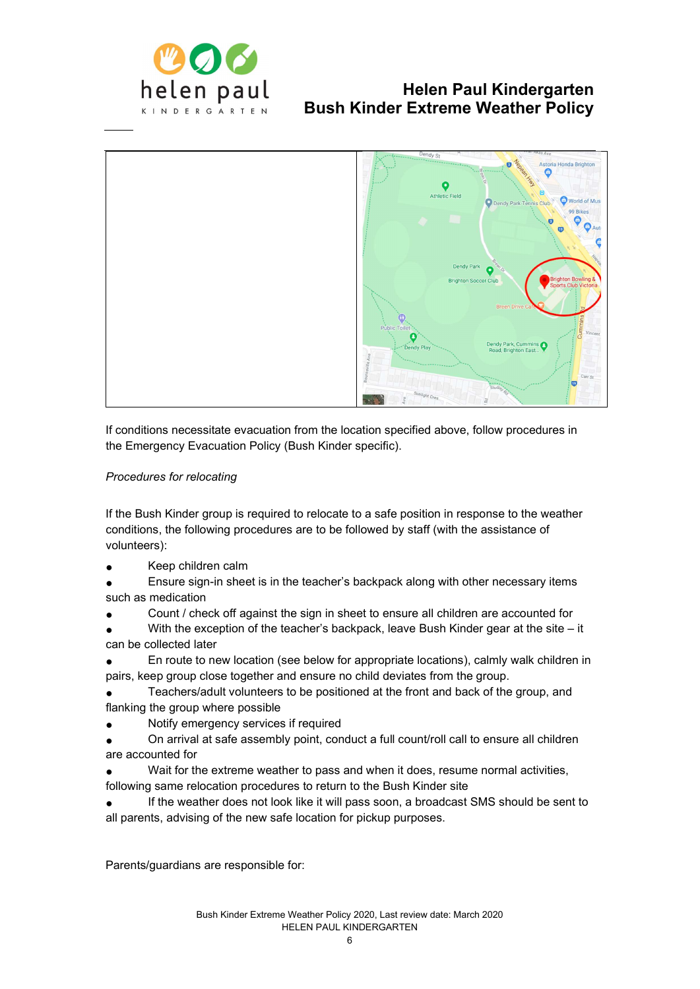



If conditions necessitate evacuation from the location specified above, follow procedures in the Emergency Evacuation Policy (Bush Kinder specific).

#### Procedures for relocating

If the Bush Kinder group is required to relocate to a safe position in response to the weather conditions, the following procedures are to be followed by staff (with the assistance of volunteers):

- Keep children calm
- Ensure sign-in sheet is in the teacher's backpack along with other necessary items such as medication
- Count / check off against the sign in sheet to ensure all children are accounted for
- With the exception of the teacher's backpack, leave Bush Kinder gear at the site it can be collected later
- En route to new location (see below for appropriate locations), calmly walk children in pairs, keep group close together and ensure no child deviates from the group.
- Teachers/adult volunteers to be positioned at the front and back of the group, and flanking the group where possible
- Notify emergency services if required
- On arrival at safe assembly point, conduct a full count/roll call to ensure all children are accounted for
- Wait for the extreme weather to pass and when it does, resume normal activities, following same relocation procedures to return to the Bush Kinder site
- If the weather does not look like it will pass soon, a broadcast SMS should be sent to all parents, advising of the new safe location for pickup purposes.

Parents/guardians are responsible for: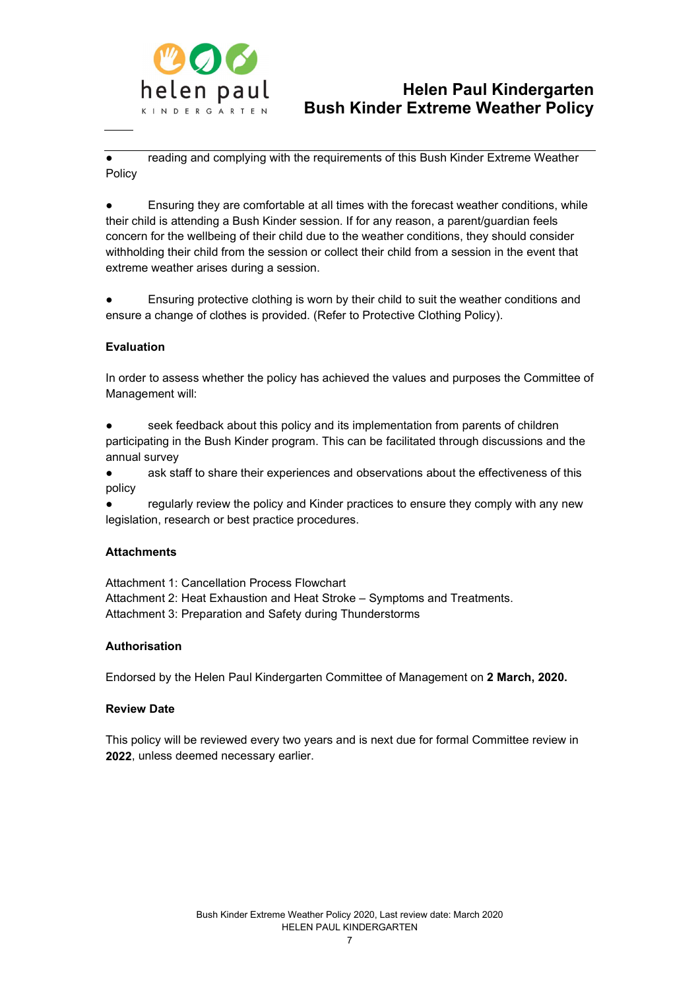

reading and complying with the requirements of this Bush Kinder Extreme Weather Policy

Ensuring they are comfortable at all times with the forecast weather conditions, while their child is attending a Bush Kinder session. If for any reason, a parent/guardian feels concern for the wellbeing of their child due to the weather conditions, they should consider withholding their child from the session or collect their child from a session in the event that extreme weather arises during a session.

Ensuring protective clothing is worn by their child to suit the weather conditions and ensure a change of clothes is provided. (Refer to Protective Clothing Policy).

#### Evaluation

In order to assess whether the policy has achieved the values and purposes the Committee of Management will:

seek feedback about this policy and its implementation from parents of children participating in the Bush Kinder program. This can be facilitated through discussions and the annual survey

● ask staff to share their experiences and observations about the effectiveness of this policy

regularly review the policy and Kinder practices to ensure they comply with any new legislation, research or best practice procedures.

#### **Attachments**

Attachment 1: Cancellation Process Flowchart Attachment 2: Heat Exhaustion and Heat Stroke – Symptoms and Treatments. Attachment 3: Preparation and Safety during Thunderstorms

#### **Authorisation**

Endorsed by the Helen Paul Kindergarten Committee of Management on 2 March, 2020.

#### Review Date

This policy will be reviewed every two years and is next due for formal Committee review in 2022, unless deemed necessary earlier.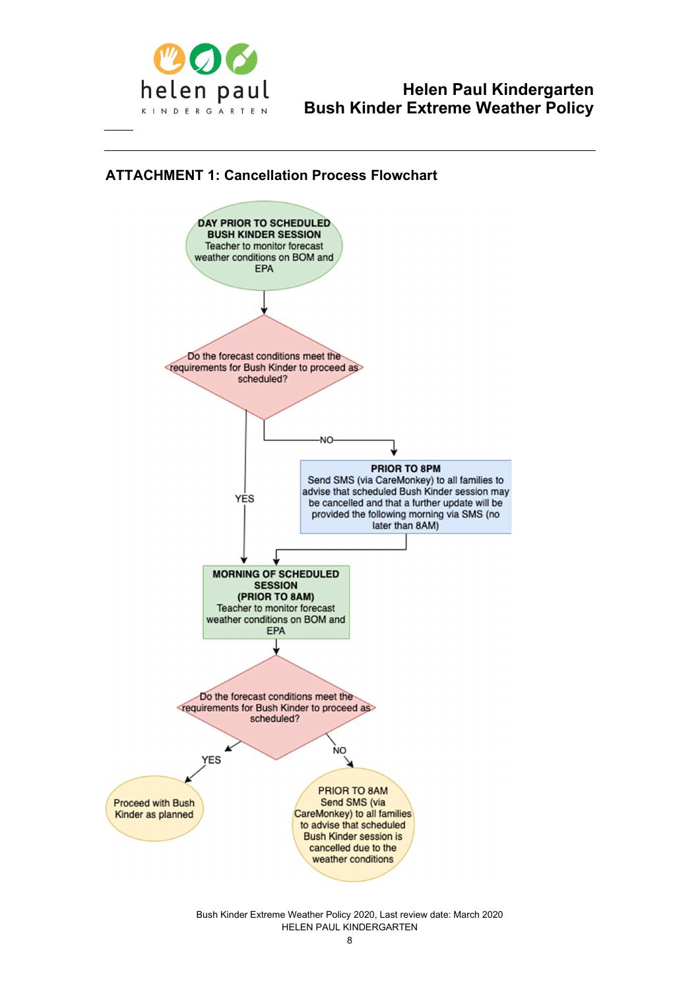

### ATTACHMENT 1: Cancellation Process Flowchart



Bush Kinder Extreme Weather Policy 2020, Last review date: March 2020 HELEN PAUL KINDERGARTEN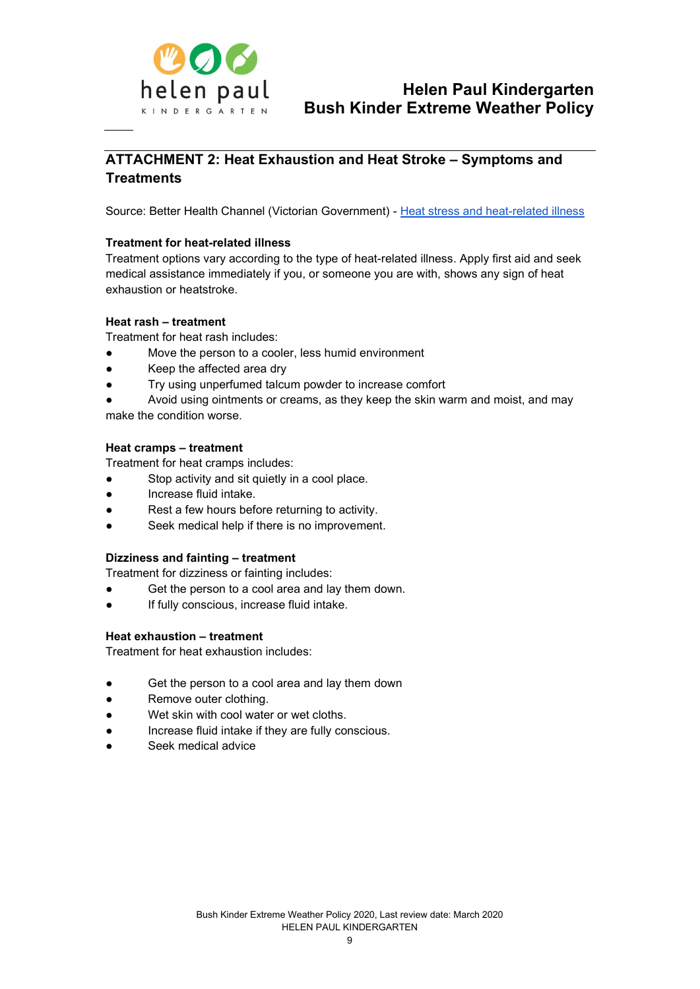

### ATTACHMENT 2: Heat Exhaustion and Heat Stroke – Symptoms and **Treatments**

Source: Better Health Channel (Victorian Government) - Heat stress and heat-related illness

#### Treatment for heat-related illness

Treatment options vary according to the type of heat-related illness. Apply first aid and seek medical assistance immediately if you, or someone you are with, shows any sign of heat exhaustion or heatstroke.

#### Heat rash – treatment

Treatment for heat rash includes:

- Move the person to a cooler, less humid environment
- Keep the affected area dry
- Try using unperfumed talcum powder to increase comfort

Avoid using ointments or creams, as they keep the skin warm and moist, and may make the condition worse.

#### Heat cramps – treatment

Treatment for heat cramps includes:

- Stop activity and sit quietly in a cool place.
- Increase fluid intake.
- Rest a few hours before returning to activity.
- Seek medical help if there is no improvement.

#### Dizziness and fainting – treatment

Treatment for dizziness or fainting includes:

- Get the person to a cool area and lay them down.
- If fully conscious, increase fluid intake.

#### Heat exhaustion – treatment

Treatment for heat exhaustion includes:

- Get the person to a cool area and lay them down
- Remove outer clothing.
- Wet skin with cool water or wet cloths.
- Increase fluid intake if they are fully conscious.
- Seek medical advice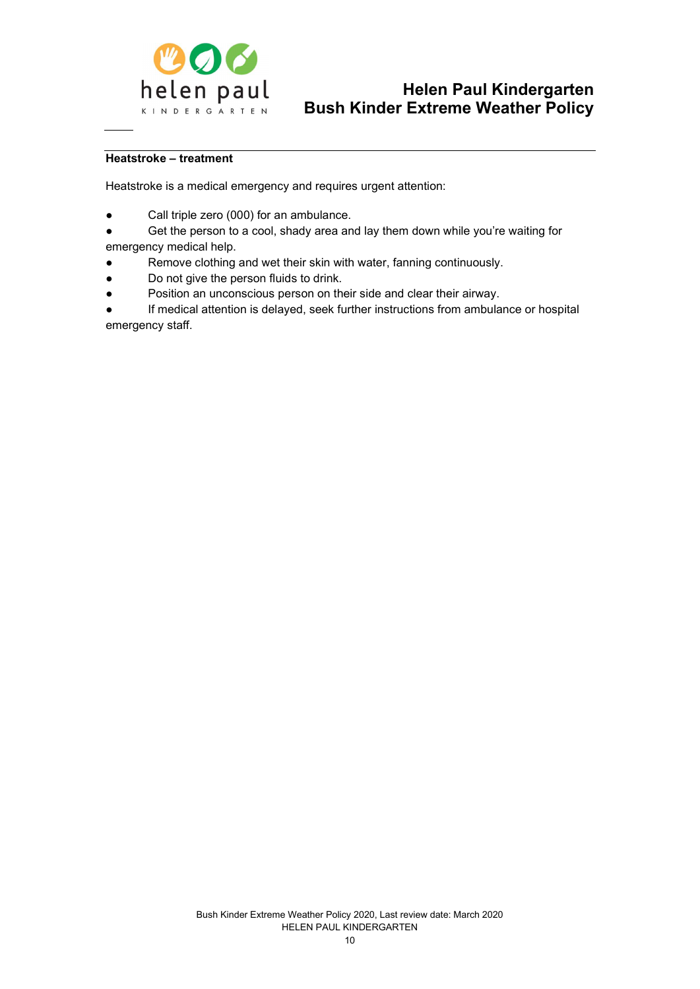

#### Heatstroke – treatment

Heatstroke is a medical emergency and requires urgent attention:

- Call triple zero (000) for an ambulance.
- Get the person to a cool, shady area and lay them down while you're waiting for emergency medical help.
- Remove clothing and wet their skin with water, fanning continuously.
- Do not give the person fluids to drink.
- Position an unconscious person on their side and clear their airway.

If medical attention is delayed, seek further instructions from ambulance or hospital emergency staff.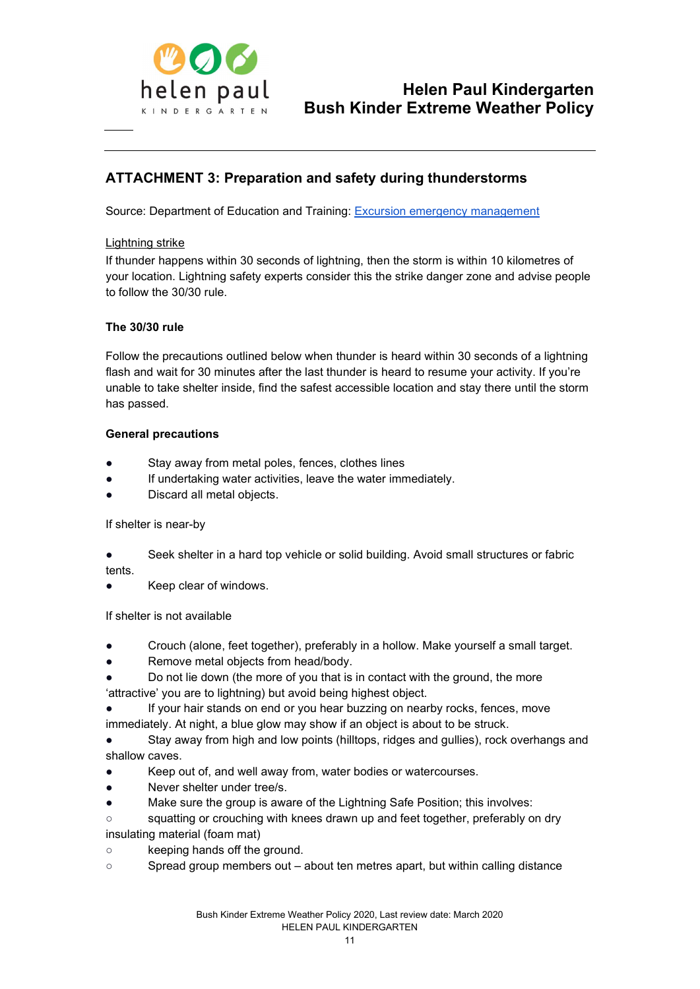

### ATTACHMENT 3: Preparation and safety during thunderstorms

Source: Department of Education and Training: Excursion emergency management

#### Lightning strike

If thunder happens within 30 seconds of lightning, then the storm is within 10 kilometres of your location. Lightning safety experts consider this the strike danger zone and advise people to follow the 30/30 rule.

#### The 30/30 rule

Follow the precautions outlined below when thunder is heard within 30 seconds of a lightning flash and wait for 30 minutes after the last thunder is heard to resume your activity. If you're unable to take shelter inside, find the safest accessible location and stay there until the storm has passed.

#### General precautions

- Stay away from metal poles, fences, clothes lines
- If undertaking water activities, leave the water immediately.
- Discard all metal objects.

If shelter is near-by

- Seek shelter in a hard top vehicle or solid building. Avoid small structures or fabric tents.
- Keep clear of windows.

If shelter is not available

- Crouch (alone, feet together), preferably in a hollow. Make yourself a small target.
- Remove metal objects from head/body.
- Do not lie down (the more of you that is in contact with the ground, the more 'attractive' you are to lightning) but avoid being highest object.
- If your hair stands on end or you hear buzzing on nearby rocks, fences, move immediately. At night, a blue glow may show if an object is about to be struck.
- Stay away from high and low points (hilltops, ridges and gullies), rock overhangs and shallow caves.
- Keep out of, and well away from, water bodies or watercourses.
- Never shelter under tree/s.
- Make sure the group is aware of the Lightning Safe Position; this involves:
- squatting or crouching with knees drawn up and feet together, preferably on dry insulating material (foam mat)
- keeping hands off the ground.
- Spread group members out about ten metres apart, but within calling distance